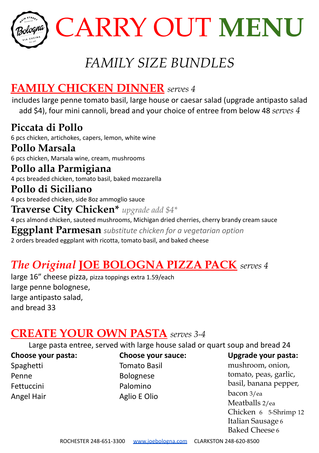

# *FAMILY SIZE BUNDLES*

# **FAMILY CHICKEN DINNER** *serves 4*

includes large penne tomato basil, large house or caesar salad (upgrade antipasto salad add \$4), four mini cannoli, bread and your choice of entree from below 48 *serves 4*

**Piccata di Pollo** 6 pcs chicken, artichokes, capers, lemon, white wine **Pollo Marsala** 6 pcs chicken, Marsala wine, cream, mushrooms **Pollo alla Parmigiana** 4 pcs breaded chicken, tomato basil, baked mozzarella **Pollo di Siciliano** 4 pcs breaded chicken, side 8oz ammoglio sauce **Traverse City Chicken\*** *upgrade add \$4\** 4 pcs almond chicken, sauteed mushrooms, Michigan dried cherries, cherry brandy cream sauce **Eggplant Parmesan** *substitute chicken for a vegetarian option* 2 orders breaded eggplant with ricotta, tomato basil, and baked cheese

# *The Original* **JOE BOLOGNA PIZZA PACK** *serves 4*

large 16" cheese pizza, pizza toppings extra 1.59/each large penne bolognese, large antipasto salad, and bread 33

# **CREATE YOUR OWN PASTA** *serves 3-4*

Large pasta entree, served with large house salad or quart soup and bread 24

**Choose your pasta:** Spaghetti Penne Fettuccini Angel Hair

**Choose your sauce:** Tomato Basil Bolognese Palomino Aglio E Olio

**Upgrade your pasta:**

mushroom, onion, tomato, peas, garlic, basil, banana pepper, bacon 3/ea Meatballs 2/ea Chicken 6 5-Shrimp 12 Italian Sausage 6 Baked Cheese 6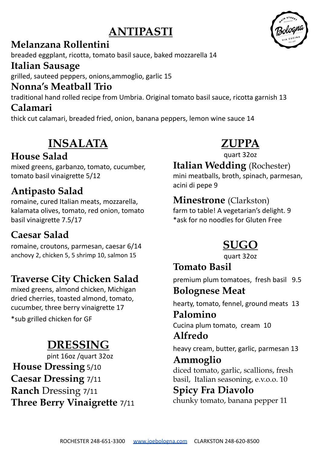# **ANTIPASTI**

#### **Melanzana Rollentini**

breaded eggplant, ricotta, tomato basil sauce, baked mozzarella 14

#### **Italian Sausage**

grilled, sauteed peppers, onions,ammoglio, garlic 15

#### **Nonna's Meatball Trio**

traditional hand rolled recipe from Umbria. Original tomato basil sauce, ricotta garnish 13

## **Calamari**

thick cut calamari, breaded fried, onion, banana peppers, lemon wine sauce 14

# **INSALATA**

## **House Salad**

mixed greens, garbanzo, tomato, cucumber, tomato basil vinaigrette 5/12

## **Antipasto Salad**

romaine, cured Italian meats, mozzarella, kalamata olives, tomato, red onion, tomato basil vinaigrette 7.5/17

# **Caesar Salad**

romaine, croutons, parmesan, caesar 6/14 anchovy 2, chicken 5, 5 shrimp 10, salmon 15

# **Traverse City Chicken Salad**

mixed greens, almond chicken, Michigan dried cherries, toasted almond, tomato, cucumber, three berry vinaigrette 17 \*sub grilled chicken for GF

# **DRESSING**

pint 16oz /quart 32oz **House Dressing** 5/10 **Caesar Dressing** 7/11 **Ranch** Dressing 7/11 **Three Berry Vinaigrette** 7/11

# **ZUPPA**

quart 32oz

## **Italian Wedding** (Rochester)

mini meatballs, broth, spinach, parmesan, acini di pepe 9

#### **Minestrone** (Clarkston)

farm to table! A vegetarian's delight. 9 \*ask for no noodles for Gluten Free

# **SUGO**

quart 32oz

**Tomato Basil** premium plum tomatoes, fresh basil 9.5

## **Bolognese Meat**

hearty, tomato, fennel, ground meats 13

#### **Palomino** Cucina plum tomato, cream 10 **Alfredo**

heavy cream, butter, garlic, parmesan 13

**Ammoglio** diced tomato, garlic, scallions, fresh basil, Italian seasoning, e.v.o.o. 10

## **Spicy Fra Diavolo**

chunky tomato, banana pepper 11

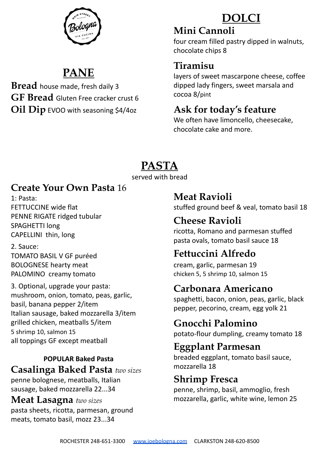

# **PANE**

**Bread** house made, fresh daily 3 **GF Bread** Gluten Free cracker crust 6 **Oil Dip** EVOO with seasoning \$4/4oz

# **DOLCI**

#### **Mini Cannoli**

four cream filled pastry dipped in walnuts, chocolate chips 8

# **Tiramisu**

layers of sweet mascarpone cheese, coffee dipped lady fingers, sweet marsala and cocoa 8/pint

## **Ask for today's feature**

We often have limoncello, cheesecake, chocolate cake and more.

# **PASTA**

served with bread

## **Create Your Own Pasta** 16

1: Pasta: FETTUCCINE wide flat PENNE RIGATE ridged tubular SPAGHETTI long CAPELLINI thin, long

2. Sauce: TOMATO BASIL V GF puréed BOLOGNESE hearty meat PALOMINO creamy tomato

3. Optional, upgrade your pasta: mushroom, onion, tomato, peas, garlic, basil, banana pepper 2/item Italian sausage, baked mozzarella 3/item grilled chicken, meatballs 5/item 5 shrimp 10, salmon 15 all toppings GF except meatball

#### **POPULAR Baked Pasta Casalinga Baked Pasta** *two sizes*

penne bolognese, meatballs, Italian sausage, baked mozzarella 22...34

**Meat Lasagna** *two sizes* pasta sheets, ricotta, parmesan, ground meats, tomato basil, mozz 23...34

**Meat Ravioli**

stuffed ground beef & veal, tomato basil 18

# **Cheese Ravioli**

ricotta, Romano and parmesan stuffed pasta ovals, tomato basil sauce 18

# **Fettuccini Alfredo**

cream, garlic, parmesan 19 chicken 5, 5 shrimp 10, salmon 15

# **Carbonara Americano**

spaghetti, bacon, onion, peas, garlic, black pepper, pecorino, cream, egg yolk 21

# **Gnocchi Palomino**

potato-flour dumpling, creamy tomato 18

## **Eggplant Parmesan**

breaded eggplant, tomato basil sauce, mozzarella 18

## **Shrimp Fresca**

penne, shrimp, basil, ammoglio, fresh mozzarella, garlic, white wine, lemon 25